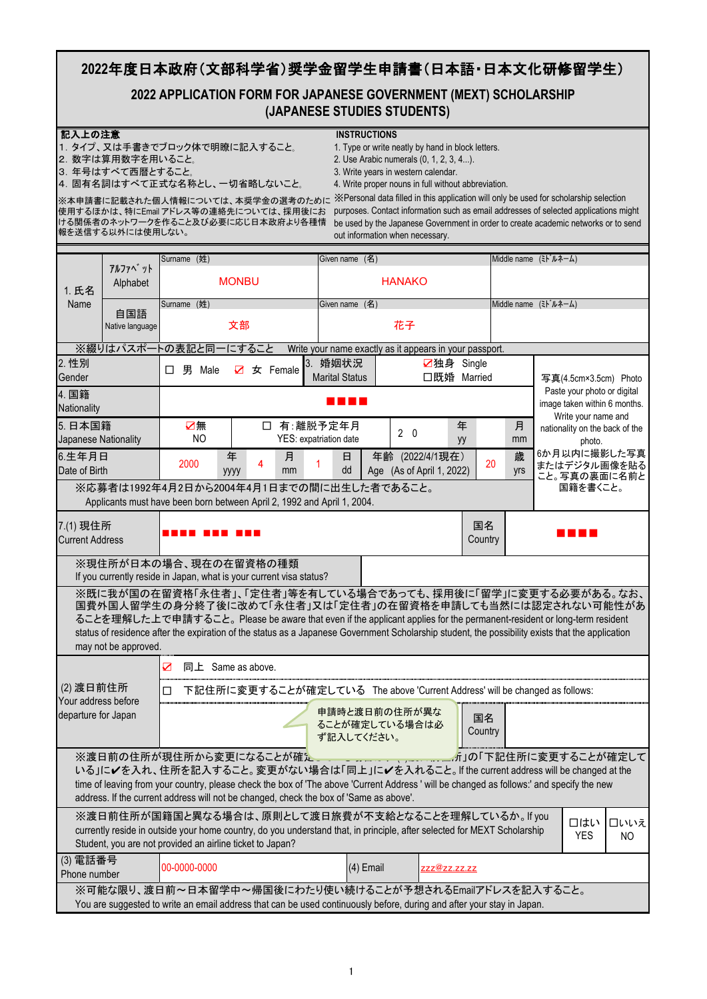## **2022**年度日本政府(文部科学省)奨学金留学生申請書(日本語・日本文化研修留学生)

## **2022 APPLICATION FORM FOR JAPANESE GOVERNMENT (MEXT) SCHOLARSHIP (JAPANESE STUDIES STUDENTS)**

|                                                                                                                                                                                  | 記入上の注意<br><b>INSTRUCTIONS</b><br>1. タイプ、又は手書きでブロック体で明瞭に記入すること。<br>1. Type or write neatly by hand in block letters.<br>2. 数字は算用数字を用いること。<br>2. Use Arabic numerals (0, 1, 2, 3, 4).<br>3. Write years in western calendar.<br>3. 年号はすべて西暦とすること。<br>4. 固有名詞はすべて正式な名称とし、一切省略しないこと。<br>4. Write proper nouns in full without abbreviation.<br>X Personal data filled in this application will only be used for scholarship selection<br>※本申請書に記載された個人情報については、本奨学金の選考のために<br>purposes. Contact information such as email addresses of selected applications might<br>使用するほかは、特にEmail アドレス等の連絡先については、採用後にお<br>ける関係者のネットワークを作ること及び必要に応じ日本政府より各種情<br>be used by the Japanese Government in order to create academic networks or to send<br>報を送信する以外には使用しない。<br>out information when necessary. |                                                                                                                                                                                                                                              |           |          |         |                                                         |                         |  |               |                                              |    |                                                    |                              |                                                               |                   |                                              |
|----------------------------------------------------------------------------------------------------------------------------------------------------------------------------------|-----------------------------------------------------------------------------------------------------------------------------------------------------------------------------------------------------------------------------------------------------------------------------------------------------------------------------------------------------------------------------------------------------------------------------------------------------------------------------------------------------------------------------------------------------------------------------------------------------------------------------------------------------------------------------------------------------------------------------------------------------------------------------------------|----------------------------------------------------------------------------------------------------------------------------------------------------------------------------------------------------------------------------------------------|-----------|----------|---------|---------------------------------------------------------|-------------------------|--|---------------|----------------------------------------------|----|----------------------------------------------------|------------------------------|---------------------------------------------------------------|-------------------|----------------------------------------------|
|                                                                                                                                                                                  |                                                                                                                                                                                                                                                                                                                                                                                                                                                                                                                                                                                                                                                                                                                                                                                         | Surname (姓)                                                                                                                                                                                                                                  |           |          |         |                                                         |                         |  |               |                                              |    |                                                    | Middle name                  | (ミト・ルネーム)                                                     |                   |                                              |
|                                                                                                                                                                                  | アルファヘ゛ット                                                                                                                                                                                                                                                                                                                                                                                                                                                                                                                                                                                                                                                                                                                                                                                |                                                                                                                                                                                                                                              |           |          |         |                                                         | $($ 名 $)$<br>Given name |  |               |                                              |    |                                                    |                              |                                                               |                   |                                              |
| 1. 氏名                                                                                                                                                                            | Alphabet                                                                                                                                                                                                                                                                                                                                                                                                                                                                                                                                                                                                                                                                                                                                                                                | <b>MONBU</b>                                                                                                                                                                                                                                 |           |          |         |                                                         |                         |  | <b>HANAKO</b> |                                              |    |                                                    |                              |                                                               |                   |                                              |
| Name                                                                                                                                                                             |                                                                                                                                                                                                                                                                                                                                                                                                                                                                                                                                                                                                                                                                                                                                                                                         | Surname (姓)                                                                                                                                                                                                                                  |           |          |         | Given name (名)                                          |                         |  |               |                                              |    |                                                    |                              | Middle name $(\bar{z} \hat{z}^T \hat{z} + \hat{z} - \hat{z})$ |                   |                                              |
|                                                                                                                                                                                  | 自国語<br>Native language                                                                                                                                                                                                                                                                                                                                                                                                                                                                                                                                                                                                                                                                                                                                                                  | 文部                                                                                                                                                                                                                                           |           |          |         |                                                         |                         |  | 花子            |                                              |    |                                                    |                              |                                                               |                   |                                              |
|                                                                                                                                                                                  |                                                                                                                                                                                                                                                                                                                                                                                                                                                                                                                                                                                                                                                                                                                                                                                         | ※綴りはパスポートの表記と同一にすること                                                                                                                                                                                                                         |           |          |         | Write your name exactly as it appears in your passport. |                         |  |               |                                              |    |                                                    |                              |                                                               |                   |                                              |
| 2. 性別                                                                                                                                                                            |                                                                                                                                                                                                                                                                                                                                                                                                                                                                                                                                                                                                                                                                                                                                                                                         | 男<br>Male<br>□                                                                                                                                                                                                                               | $\sum$    | 女 Female |         | 3. 婚姻状況                                                 |                         |  |               | ■独身 Single                                   |    |                                                    |                              |                                                               |                   |                                              |
| Gender                                                                                                                                                                           |                                                                                                                                                                                                                                                                                                                                                                                                                                                                                                                                                                                                                                                                                                                                                                                         |                                                                                                                                                                                                                                              |           |          |         | <b>Marital Status</b>                                   |                         |  |               | 口既婚 Married                                  |    |                                                    |                              |                                                               |                   | 写真(4.5cm×3.5cm) Photo                        |
| 4. 国籍<br>Nationality                                                                                                                                                             |                                                                                                                                                                                                                                                                                                                                                                                                                                                                                                                                                                                                                                                                                                                                                                                         |                                                                                                                                                                                                                                              |           |          |         |                                                         |                         |  |               |                                              |    | Paste your photo or digital<br>Write your name and | image taken within 6 months. |                                                               |                   |                                              |
| 5. 日本国籍                                                                                                                                                                          |                                                                                                                                                                                                                                                                                                                                                                                                                                                                                                                                                                                                                                                                                                                                                                                         | ☑無                                                                                                                                                                                                                                           |           | $\Box$   |         | 有:離脱予定年月                                                |                         |  | $2\quad 0$    |                                              | 年  |                                                    | 月                            |                                                               |                   | nationality on the back of the               |
| Japanese Nationality                                                                                                                                                             |                                                                                                                                                                                                                                                                                                                                                                                                                                                                                                                                                                                                                                                                                                                                                                                         | <b>NO</b>                                                                                                                                                                                                                                    |           |          |         | YES: expatriation date                                  |                         |  |               |                                              | yy |                                                    | mm                           |                                                               | photo.            |                                              |
| 6.生年月日<br>Date of Birth                                                                                                                                                          |                                                                                                                                                                                                                                                                                                                                                                                                                                                                                                                                                                                                                                                                                                                                                                                         | 2000                                                                                                                                                                                                                                         | 年<br>уууу | 4        | 月<br>mm |                                                         | 日<br>dd                 |  |               | 年齢 (2022/4/1現在)<br>Age (As of April 1, 2022) |    | 20                                                 | 歳<br>yrs                     |                                                               |                   | 6か月以内に撮影した写真<br>またはデジタル画像を貼る<br>こと。写真の裏面に名前と |
|                                                                                                                                                                                  |                                                                                                                                                                                                                                                                                                                                                                                                                                                                                                                                                                                                                                                                                                                                                                                         | ※応募者は1992年4月2日から2004年4月1日までの間に出生した者であること。<br>Applicants must have been born between April 2, 1992 and April 1, 2004.                                                                                                                         |           |          |         |                                                         |                         |  |               |                                              |    |                                                    |                              |                                                               | 国籍を書くこと。          |                                              |
| 国名<br>7.(1) 現住所<br>Country<br><b>Current Address</b>                                                                                                                             |                                                                                                                                                                                                                                                                                                                                                                                                                                                                                                                                                                                                                                                                                                                                                                                         |                                                                                                                                                                                                                                              |           |          |         |                                                         |                         |  |               |                                              |    |                                                    |                              |                                                               |                   |                                              |
|                                                                                                                                                                                  |                                                                                                                                                                                                                                                                                                                                                                                                                                                                                                                                                                                                                                                                                                                                                                                         | ※現住所が日本の場合、現在の在留資格の種類<br>If you currently reside in Japan, what is your current visa status?                                                                                                                                                 |           |          |         |                                                         |                         |  |               |                                              |    |                                                    |                              |                                                               |                   |                                              |
|                                                                                                                                                                                  | ※既に我が国の在留資格「永住者」、「定住者」等を有している場合であっても、採用後に「留学」に変更する必要がある。なお、<br>国費外国人留学生の身分終了後に改めて「永住者」又は「定住者」の在留資格を申請しても当然には認定されない可能性があ<br>ることを理解した上で申請すること。Please be aware that even if the applicant applies for the permanent-resident or long-term resident<br>status of residence after the expiration of the status as a Japanese Government Scholarship student, the possibility exists that the application<br>may not be approved.                                                                                                                                                                                                                                                                                                                                                             |                                                                                                                                                                                                                                              |           |          |         |                                                         |                         |  |               |                                              |    |                                                    |                              |                                                               |                   |                                              |
|                                                                                                                                                                                  |                                                                                                                                                                                                                                                                                                                                                                                                                                                                                                                                                                                                                                                                                                                                                                                         | 同上 Same as above.<br>$\boldsymbol{\nabla}$                                                                                                                                                                                                   |           |          |         |                                                         |                         |  |               |                                              |    |                                                    |                              |                                                               |                   |                                              |
| $(2)$ 渡日前住所                                                                                                                                                                      |                                                                                                                                                                                                                                                                                                                                                                                                                                                                                                                                                                                                                                                                                                                                                                                         | 下記住所に変更することが確定している The above 'Current Address' will be changed as follows:<br>П                                                                                                                                                              |           |          |         |                                                         |                         |  |               |                                              |    |                                                    |                              |                                                               |                   |                                              |
| Your address before                                                                                                                                                              |                                                                                                                                                                                                                                                                                                                                                                                                                                                                                                                                                                                                                                                                                                                                                                                         |                                                                                                                                                                                                                                              |           |          |         |                                                         |                         |  |               |                                              |    |                                                    |                              |                                                               |                   |                                              |
| departure for Japan                                                                                                                                                              |                                                                                                                                                                                                                                                                                                                                                                                                                                                                                                                                                                                                                                                                                                                                                                                         |                                                                                                                                                                                                                                              |           |          |         | 申請時と渡日前の住所が異な<br>ることが確定している場合は必<br>ず記入してください。           |                         |  |               |                                              |    | 国名<br>Country                                      |                              |                                                               |                   |                                              |
|                                                                                                                                                                                  | ※渡日前の住所が現住所から変更になることが確 <del>た。。。。。。。。。。。。。。。。。。。</del> 。所」の「下記住所に変更することが確定して<br>いる」に√を入れ、住所を記入すること。変更がない場合は「同上」に√を入れること。If the current address will be changed at the<br>time of leaving from your country, please check the box of 'The above 'Current Address ' will be changed as follows:' and specify the new<br>address. If the current address will not be changed, check the box of 'Same as above'.                                                                                                                                                                                                                                                                                                                                                                            |                                                                                                                                                                                                                                              |           |          |         |                                                         |                         |  |               |                                              |    |                                                    |                              |                                                               |                   |                                              |
|                                                                                                                                                                                  |                                                                                                                                                                                                                                                                                                                                                                                                                                                                                                                                                                                                                                                                                                                                                                                         | ※渡日前住所が国籍国と異なる場合は、原則として渡日旅費が不支給となることを理解しているか。If you<br>currently reside in outside your home country, do you understand that, in principle, after selected for MEXT Scholarship<br>Student, you are not provided an airline ticket to Japan? |           |          |         |                                                         |                         |  |               |                                              |    |                                                    |                              |                                                               | 口はい<br><b>YES</b> | □いいえ<br>N <sub>O</sub>                       |
| (3) 電話番号<br>Phone number                                                                                                                                                         |                                                                                                                                                                                                                                                                                                                                                                                                                                                                                                                                                                                                                                                                                                                                                                                         | 00-0000-0000                                                                                                                                                                                                                                 |           |          |         |                                                         | $(4)$ Email             |  |               | <u> ZZZ@ZZ.ZZ.ZZ</u>                         |    |                                                    |                              |                                                               |                   |                                              |
| ※可能な限り、渡日前~日本留学中~帰国後にわたり使い続けることが予想されるEmailアドレスを記入すること。<br>You are suggested to write an email address that can be used continuously before, during and after your stay in Japan. |                                                                                                                                                                                                                                                                                                                                                                                                                                                                                                                                                                                                                                                                                                                                                                                         |                                                                                                                                                                                                                                              |           |          |         |                                                         |                         |  |               |                                              |    |                                                    |                              |                                                               |                   |                                              |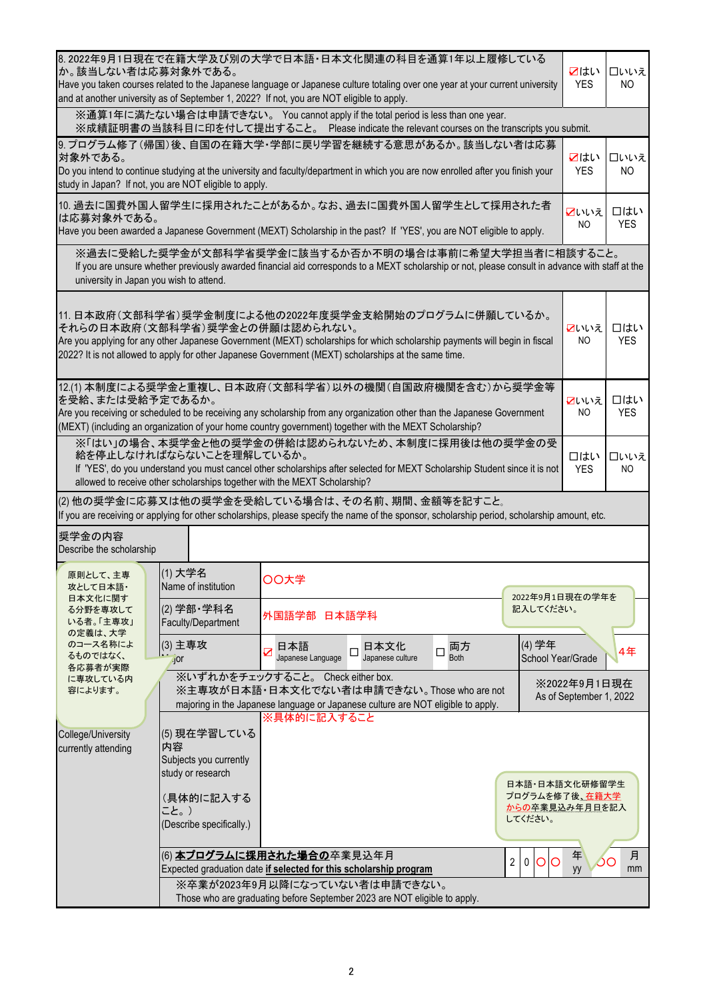| 8.2022年9月1日現在で在籍大学及び別の大学で日本語・日本文化関連の科目を通算1年以上履修している<br>か。該当しない者は応募対象外である。<br>Have you taken courses related to the Japanese language or Japanese culture totaling over one year at your current university<br>and at another university as of September 1, 2022? If not, you are NOT eligible to apply.                 | ☑はい<br><b>YES</b>                                                 | □いいえ<br><b>NO</b>                                                                                                                                                                                                                                                                           |                                         |                   |  |  |  |  |  |
|-------------------------------------------------------------------------------------------------------------------------------------------------------------------------------------------------------------------------------------------------------------------------------------------------------------------------|-------------------------------------------------------------------|---------------------------------------------------------------------------------------------------------------------------------------------------------------------------------------------------------------------------------------------------------------------------------------------|-----------------------------------------|-------------------|--|--|--|--|--|
|                                                                                                                                                                                                                                                                                                                         |                                                                   | ※通算1年に満たない場合は申請できない。 You cannot apply if the total period is less than one year.<br>※成績証明書の当該科目に印を付して提出すること。 Please indicate the relevant courses on the transcripts you submit.                                                                                                            |                                         |                   |  |  |  |  |  |
|                                                                                                                                                                                                                                                                                                                         |                                                                   | 9. プログラム修了(帰国)後、自国の在籍大学・学部に戻り学習を継続する意思があるか。該当しない者は応募                                                                                                                                                                                                                                        |                                         |                   |  |  |  |  |  |
| 対象外である。<br>Do you intend to continue studying at the university and faculty/department in which you are now enrolled after you finish your<br>study in Japan? If not, you are NOT eligible to apply.                                                                                                                    |                                                                   |                                                                                                                                                                                                                                                                                             |                                         |                   |  |  |  |  |  |
| 10. 過去に国費外国人留学生に採用されたことがあるか。なお、過去に国費外国人留学生として採用された者<br>■いいえ<br>は応募対象外である。<br>Have you been awarded a Japanese Government (MEXT) Scholarship in the past? If 'YES', you are NOT eligible to apply.                                                                                                                       |                                                                   |                                                                                                                                                                                                                                                                                             |                                         |                   |  |  |  |  |  |
| university in Japan you wish to attend.                                                                                                                                                                                                                                                                                 |                                                                   | ※過去に受給した奨学金が文部科学省奨学金に該当するか否か不明の場合は事前に希望大学担当者に相談すること。<br>If you are unsure whether previously awarded financial aid corresponds to a MEXT scholarship or not, please consult in advance with staff at the                                                                                    |                                         |                   |  |  |  |  |  |
|                                                                                                                                                                                                                                                                                                                         | それらの日本政府(文部科学省)奨学金との併願は認められない。                                    | 11. 日本政府(文部科学省)奨学金制度による他の2022年度奨学金支給開始のプログラムに併願しているか。<br>Are you applying for any other Japanese Government (MEXT) scholarships for which scholarship payments will begin in fiscal<br>2022? It is not allowed to apply for other Japanese Government (MEXT) scholarships at the same time. | ■いいえ<br>N <sub>O</sub>                  | 口はい<br><b>YES</b> |  |  |  |  |  |
| 12.(1) 本制度による奨学金と重複し、日本政府(文部科学省)以外の機関(自国政府機関を含む)から奨学金等<br>を受給、または受給予定であるか。<br>■いいえ<br>Are you receiving or scheduled to be receiving any scholarship from any organization other than the Japanese Government<br>(MEXT) (including an organization of your home country government) together with the MEXT Scholarship? |                                                                   |                                                                                                                                                                                                                                                                                             |                                         |                   |  |  |  |  |  |
|                                                                                                                                                                                                                                                                                                                         | 給を停止しなければならないことを理解しているか。                                          | ※「はい」の場合、本奨学金と他の奨学金の併給は認められないため、本制度に採用後は他の奨学金の受<br>If 'YES', do you understand you must cancel other scholarships after selected for MEXT Scholarship Student since it is not<br>allowed to receive other scholarships together with the MEXT Scholarship?                                  | 口はい<br><b>YES</b>                       | □いいえ<br>NO        |  |  |  |  |  |
|                                                                                                                                                                                                                                                                                                                         |                                                                   | (2) 他の奨学金に応募又は他の奨学金を受給している場合は、その名前、期間、金額等を記すこと。<br>If you are receiving or applying for other scholarships, please specify the name of the sponsor, scholarship period, scholarship amount, etc.                                                                                            |                                         |                   |  |  |  |  |  |
| 奨学金の内容<br>Describe the scholarship                                                                                                                                                                                                                                                                                      |                                                                   |                                                                                                                                                                                                                                                                                             |                                         |                   |  |  |  |  |  |
| 原則として、主専<br>攻として日本語・                                                                                                                                                                                                                                                                                                    | (1) 大学名<br>Name of institution                                    | ○○大学                                                                                                                                                                                                                                                                                        |                                         |                   |  |  |  |  |  |
| 日本文化に関す<br>る分野を専攻して<br>いる者。「主専攻」<br>の定義は、大学                                                                                                                                                                                                                                                                             | (2) 学部·学科名<br>Faculty/Department                                  | 2022年9月1日現在の学年を<br>記入してください。<br>外国語学部 日本語学科                                                                                                                                                                                                                                                 |                                         |                   |  |  |  |  |  |
| のコース名称によ<br>るものではなく、<br>各応募者が実際                                                                                                                                                                                                                                                                                         | (3) 主専攻<br>$\sqrt{2}$                                             | (4) 学年<br>日本語<br>日本文化<br>両方<br>$\Box$<br>$\Box$<br>$\overline{\mathbf{Z}}$<br><b>Both</b><br>Japanese culture<br>Japanese Language<br>School Year/Grade                                                                                                                                     |                                         | 4年                |  |  |  |  |  |
| に専攻している内<br>容によります。                                                                                                                                                                                                                                                                                                     |                                                                   | ※いずれかをチェックすること。 Check either box.<br>※主専攻が日本語・日本文化でない者は申請できない。Those who are not<br>majoring in the Japanese language or Japanese culture are NOT eligible to apply.                                                                                                                         | ※2022年9月1日現在<br>As of September 1, 2022 |                   |  |  |  |  |  |
| College/University<br>currently attending                                                                                                                                                                                                                                                                               | (5) 現在学習している<br>内容<br>Subjects you currently<br>study or research | ※具体的に記入すること<br>日本語·日本語文化研修留学生                                                                                                                                                                                                                                                               |                                         |                   |  |  |  |  |  |
|                                                                                                                                                                                                                                                                                                                         | (具体的に記入する<br>こと。)<br>(Describe specifically.)                     | プログラムを修了後、在籍大学<br>からの卒業見込み年月日を記入<br>してください。                                                                                                                                                                                                                                                 |                                         |                   |  |  |  |  |  |
|                                                                                                                                                                                                                                                                                                                         |                                                                   | $\overline{2}$<br>$\pmb{0}$<br>$\circ$<br>O<br>Expected graduation date if selected for this scholarship program                                                                                                                                                                            | 年<br>yy                                 | 月<br>mm           |  |  |  |  |  |
|                                                                                                                                                                                                                                                                                                                         |                                                                   | ※卒業が2023年9月以降になっていない者は申請できない。<br>Those who are graduating before September 2023 are NOT eligible to apply.                                                                                                                                                                                  |                                         |                   |  |  |  |  |  |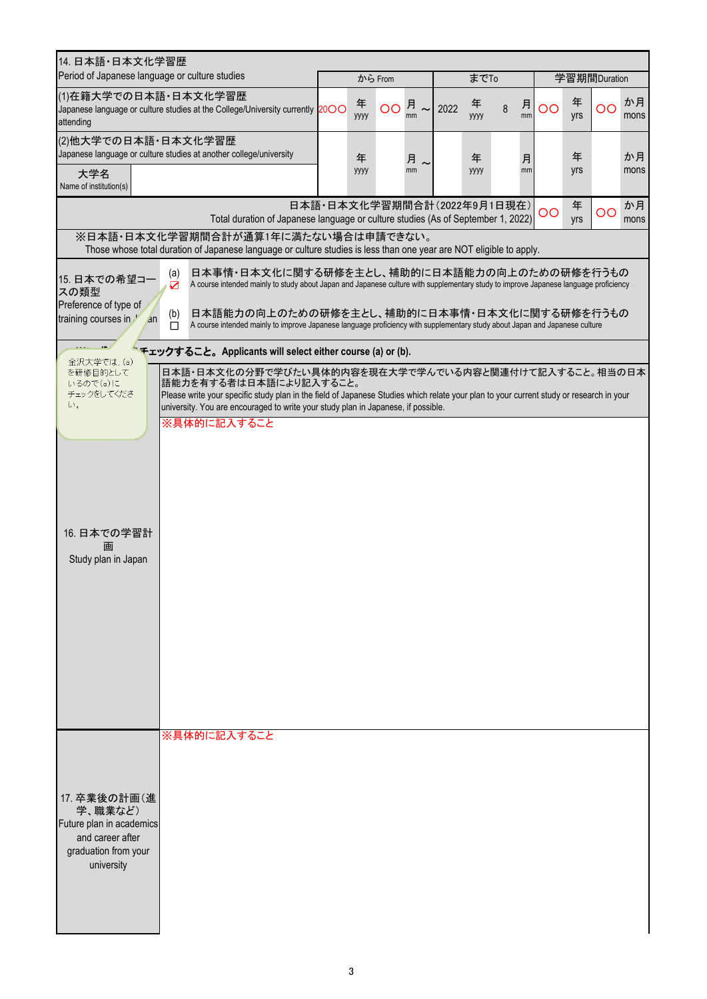| 14. 日本語・日本文化学習歴<br>Period of Japanese language or culture studies                                                                                                                                                                                                                                                                                          |                             |           |         |                          |           |   |         |    |          |              |            |
|------------------------------------------------------------------------------------------------------------------------------------------------------------------------------------------------------------------------------------------------------------------------------------------------------------------------------------------------------------|-----------------------------|-----------|---------|--------------------------|-----------|---|---------|----|----------|--------------|------------|
|                                                                                                                                                                                                                                                                                                                                                            |                             |           | から From |                          | までTo      |   |         |    |          | 学習期間Duration |            |
| ⑴在籍大学での日本語・日本文化学習歴<br>Japanese language or culture studies at the College/University currently 2000<br>attending                                                                                                                                                                                                                                           |                             | 年<br>уууу |         | OO $\frac{1}{nm}$ ~ 2022 | 年<br>уууу | 8 | 月<br>mm | OO | 年<br>yrs | OO           | か月<br>mons |
| (2)他大学での日本語・日本文化学習歴<br>Japanese language or culture studies at another college/university                                                                                                                                                                                                                                                                  |                             | 年         |         | 月                        | 年         |   | 月       |    | 年        |              | か月         |
| 大学名<br>Name of institution(s)                                                                                                                                                                                                                                                                                                                              |                             | уууу      |         | mm                       | уууу      |   | mm      |    | yrs      |              | mons       |
| Total duration of Japanese language or culture studies (As of September 1, 2022)                                                                                                                                                                                                                                                                           | 日本語·日本文化学習期間合計(2022年9月1日現在) |           |         |                          |           |   |         | OO | 年<br>yrs | OO           | か月<br>mons |
| ※日本語・日本文化学習期間合計が通算1年に満たない場合は申請できない。<br>Those whose total duration of Japanese language or culture studies is less than one year are NOT eligible to apply.                                                                                                                                                                                                 |                             |           |         |                          |           |   |         |    |          |              |            |
| 日本事情・日本文化に関する研修を主とし、補助的に日本語能力の向上のための研修を行うもの<br>(a)<br>15. 日本での希望コー<br>A course intended mainly to study about Japan and Japanese culture with supplementary study to improve Japanese language proficiency<br>$\overline{\mathbf{N}}$<br>スの類型                                                                                                              |                             |           |         |                          |           |   |         |    |          |              |            |
| Preference of type of<br>日本語能力の向上のための研修を主とし、補助的に日本事情・日本文化に関する研修を行うもの<br>(b)<br>training courses in<br>an<br>A course intended mainly to improve Japanese language proficiency with supplementary study about Japan and Japanese culture<br>П                                                                                                               |                             |           |         |                          |           |   |         |    |          |              |            |
| モェックすること。Applicants will select either course (a) or (b).<br>金沢大学では、(a)                                                                                                                                                                                                                                                                                    |                             |           |         |                          |           |   |         |    |          |              |            |
| 日本語・日本文化の分野で学びたい具体的内容を現在大学で学んでいる内容と関連付けて記入すること。相当の日本<br>を研修目的として<br>語能力を有する者は日本語により記入すること。<br>いるので(a)に<br>チェックをしてくださ<br>Please write your specific study plan in the field of Japanese Studies which relate your plan to your current study or research in your<br>い。<br>university. You are encouraged to write your study plan in Japanese, if possible. |                             |           |         |                          |           |   |         |    |          |              |            |
| ※具体的に記入すること                                                                                                                                                                                                                                                                                                                                                |                             |           |         |                          |           |   |         |    |          |              |            |
|                                                                                                                                                                                                                                                                                                                                                            |                             |           |         |                          |           |   |         |    |          |              |            |
|                                                                                                                                                                                                                                                                                                                                                            |                             |           |         |                          |           |   |         |    |          |              |            |
| 16. 日本での学習計<br>画                                                                                                                                                                                                                                                                                                                                           |                             |           |         |                          |           |   |         |    |          |              |            |
| Study plan in Japan                                                                                                                                                                                                                                                                                                                                        |                             |           |         |                          |           |   |         |    |          |              |            |
|                                                                                                                                                                                                                                                                                                                                                            |                             |           |         |                          |           |   |         |    |          |              |            |
|                                                                                                                                                                                                                                                                                                                                                            |                             |           |         |                          |           |   |         |    |          |              |            |
|                                                                                                                                                                                                                                                                                                                                                            |                             |           |         |                          |           |   |         |    |          |              |            |
|                                                                                                                                                                                                                                                                                                                                                            |                             |           |         |                          |           |   |         |    |          |              |            |
| ※具体的に記入すること                                                                                                                                                                                                                                                                                                                                                |                             |           |         |                          |           |   |         |    |          |              |            |
|                                                                                                                                                                                                                                                                                                                                                            |                             |           |         |                          |           |   |         |    |          |              |            |
| 17. 卒業後の計画(進<br>学、職業など)<br>Future plan in academics                                                                                                                                                                                                                                                                                                        |                             |           |         |                          |           |   |         |    |          |              |            |
| and career after<br>graduation from your                                                                                                                                                                                                                                                                                                                   |                             |           |         |                          |           |   |         |    |          |              |            |
| university                                                                                                                                                                                                                                                                                                                                                 |                             |           |         |                          |           |   |         |    |          |              |            |
|                                                                                                                                                                                                                                                                                                                                                            |                             |           |         |                          |           |   |         |    |          |              |            |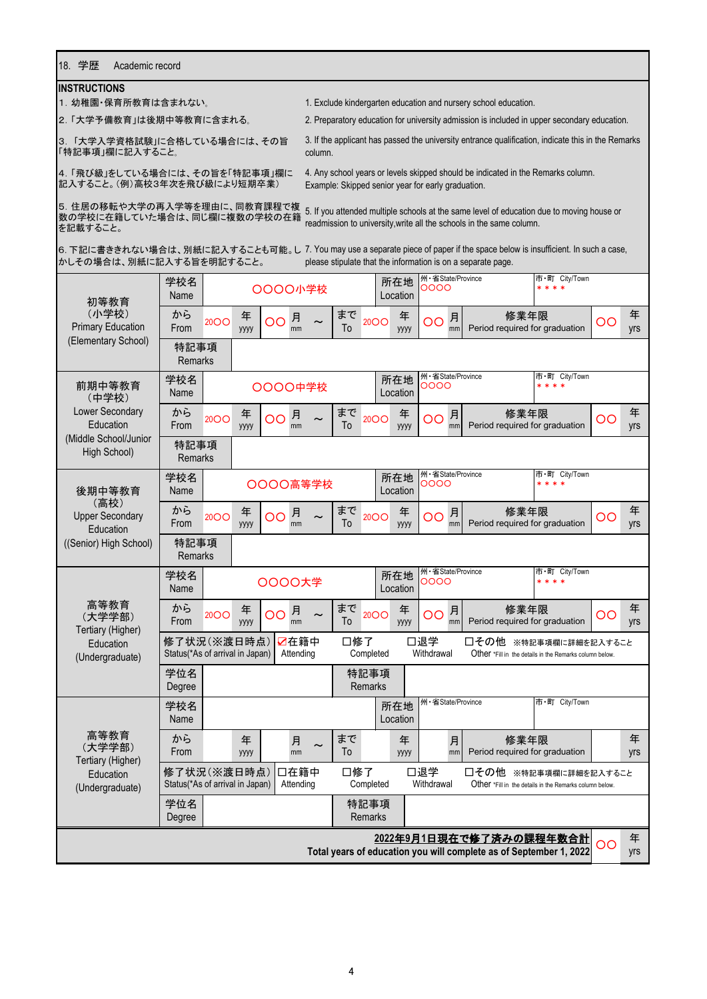## 18. 学歴 Academic record

## **INSTRUCTIONS**

1.幼稚園・保育所教育は含まれない。

2.「大学予備教育」は後期中等教育に含まれる。

3. 「大学入学資格試験」に合格している場合には、その旨 「特記事項」欄に記入すること。

1. Exclude kindergarten education and nursery school education.

Example: Skipped senior year for early graduation.

2. Preparatory education for university admission is included in upper secondary education.

3. If the applicant has passed the university entrance qualification, indicate this in the Remarks column.

4.「飛び級」をしている場合には、その旨を「特記事項」欄に 記入すること。(例)高校3年次を飛び級により短期卒業)

数の学校に在籍していた場合は、同じ欄に複数の学校の在籍 を記載すること。

5. 住居の移転や大学の再入学等を理由に、同教育課程で複 5 If you attended multiple schools at the same level of education due to moving house or<br>数の営技に在籍していた場合は、同じ櫻に複数の営技の充籍 5. If you attended multiple schools at the same level of education due to readmission to university,write all the schools in the same column.

4. Any school years or levels skipped should be indicated in the Remarks column.

かしその場合は、別紙に記入する旨を明記すること。

6. 下記に書ききれない場合は、別紙に記入することも可能。し 7. You may use a separate piece of paper if the space below is insufficient. In such a case, please stipulate that the information is on a separate page.

| 初等教育                                  | 学校名<br>Name                                    |             |           |                 | ○○○○小学校           |          |                        | 所在地<br>Location | 州·省State/Province<br>0000  |                                                                                                       |                          |                 |          |
|---------------------------------------|------------------------------------------------|-------------|-----------|-----------------|-------------------|----------|------------------------|-----------------|----------------------------|-------------------------------------------------------------------------------------------------------|--------------------------|-----------------|----------|
| (小学校)<br><b>Primary Education</b>     | から<br>From                                     | <b>20OO</b> | 年<br>уууу | OO              | 月<br>mm           | まで<br>To | <b>20OO</b>            | 年<br>уууу       | 月<br>OO<br>mm              | 修業年限<br>Period required for graduation                                                                |                          | $\overline{O}O$ | 年<br>yrs |
| (Elementary School)                   | 特記事項<br><b>Remarks</b>                         |             |           |                 |                   |          |                        |                 |                            |                                                                                                       |                          |                 |          |
| 前期中等教育<br>(中学校)                       | 学校名<br>Name                                    |             |           |                 | ○○○○中学校           |          |                        | 所在地<br>Location | 州·省State/Province<br>0000  |                                                                                                       | 市·町 City/Town<br>* * * * |                 |          |
| Lower Secondary<br>Education          | から<br>From                                     | <b>20OO</b> | 年<br>уууу | OO              | 月<br>mm           | まで<br>To | <b>20OO</b>            | 年<br>уууу       | 月<br>OO<br>mm              | 修業年限<br>Period required for graduation                                                                |                          | OO              | 年<br>yrs |
| (Middle School/Junior<br>High School) | 特記事項<br><b>Remarks</b>                         |             |           |                 |                   |          |                        |                 |                            |                                                                                                       |                          |                 |          |
| 後期中等教育<br>(高校)                        | 学校名<br>Name                                    |             |           |                 | OOOO高等学校          |          |                        | 所在地<br>Location | 州·省State/Province<br>0000  |                                                                                                       | 市·町 City/Town<br>* * * * |                 |          |
| <b>Upper Secondary</b><br>Education   | から<br>From                                     | <b>2000</b> | 年<br>уууу | $\overline{O}O$ | 月<br>mm           | まで<br>To | <b>20OO</b>            | 年<br>уууу       | 月<br>$\overline{O}O$<br>mm | 修業年限<br>Period required for graduation                                                                |                          | OO              | 年<br>yrs |
| ((Senior) High School)                | 特記事項<br><b>Remarks</b>                         |             |           |                 |                   |          |                        |                 |                            |                                                                                                       |                          |                 |          |
|                                       | 学校名<br>Name                                    |             |           |                 | 0000大学            |          |                        | 所在地<br>Location | 州·省State/Province<br>0000  |                                                                                                       | 市·町 City/Town<br>* * * * |                 |          |
| 高等教育<br>(大学学部)<br>Tertiary (Higher)   | から<br>From                                     | <b>20OO</b> | 年<br>уууу | OO              | 月<br>mm           | まで<br>To | <b>20OO</b>            | 年<br>уууу       | 月<br>OO<br>mm              | 修業年限<br>Period required for graduation                                                                |                          | OO              | 年<br>yrs |
| Education<br>(Undergraduate)          | 修了状況(※渡日時点)<br>Status(*As of arrival in Japan) |             |           |                 | ☑在籍中<br>Attending | 口修了      | Completed              |                 | 口退学<br>Withdrawal          | □その他<br>Other *Fill in the details in the Remarks column below.                                       | ※特記事項欄に詳細を記入すること         |                 |          |
|                                       | 学位名<br>Degree                                  |             |           |                 |                   |          | 特記事項<br><b>Remarks</b> |                 |                            |                                                                                                       |                          |                 |          |
|                                       | 学校名<br>Name                                    |             |           |                 |                   |          |                        | 所在地<br>Location | 州·省State/Province          |                                                                                                       | 市·町 City/Town            |                 |          |
| 高等教育<br>(大学学部)<br>Tertiary (Higher)   | から<br>From                                     |             | 年<br>уууу |                 | 月<br>mm           | まで<br>To |                        | 年<br>уууу       | 月<br>mm                    | 修業年限<br>Period required for graduation                                                                |                          |                 | 年<br>yrs |
| Education<br>(Undergraduate)          | 修了状況(※渡日時点)<br>Status(*As of arrival in Japan) |             |           |                 | 口在籍中<br>Attending | 口修了      | Completed              |                 | 口退学<br>Withdrawal          | □その他 ※特記事項欄に詳細を記入すること<br>Other *Fill in the details in the Remarks column below.                      |                          |                 |          |
|                                       | 学位名<br>Degree                                  |             |           |                 |                   |          | 特記事項<br><b>Remarks</b> |                 |                            |                                                                                                       |                          |                 |          |
|                                       |                                                |             |           |                 |                   |          |                        |                 |                            | <u> 2022年9月1日現在で修了済みの課程年数合計</u><br>Total years of education you will complete as of September 1, 2022 |                          | OO              | 年<br>yrs |